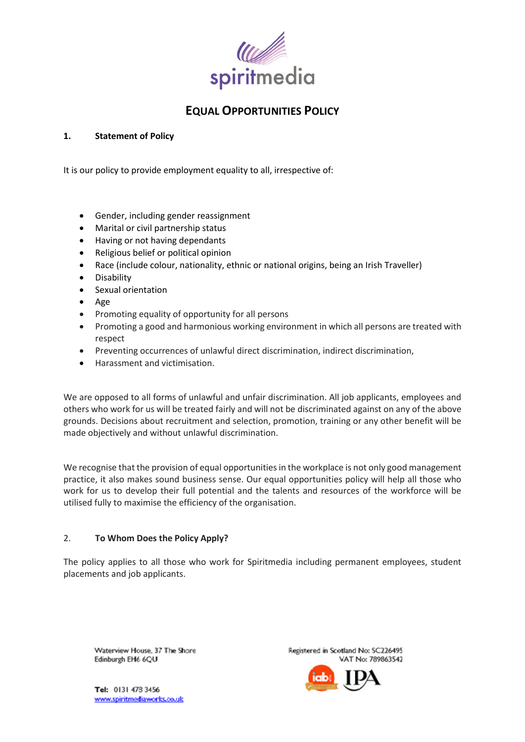

# **EQUAL OPPORTUNITIES POLICY**

## **1. Statement of Policy**

It is our policy to provide employment equality to all, irrespective of:

- Gender, including gender reassignment
- Marital or civil partnership status
- Having or not having dependants
- Religious belief or political opinion
- Race (include colour, nationality, ethnic or national origins, being an Irish Traveller)
- Disability
- Sexual orientation
- Age
- Promoting equality of opportunity for all persons
- Promoting a good and harmonious working environment in which all persons are treated with respect
- Preventing occurrences of unlawful direct discrimination, indirect discrimination,
- Harassment and victimisation.

We are opposed to all forms of unlawful and unfair discrimination. All job applicants, employees and others who work for us will be treated fairly and will not be discriminated against on any of the above grounds. Decisions about recruitment and selection, promotion, training or any other benefit will be made objectively and without unlawful discrimination.

We recognise that the provision of equal opportunities in the workplace is not only good management practice, it also makes sound business sense. Our equal opportunities policy will help all those who work for us to develop their full potential and the talents and resources of the workforce will be utilised fully to maximise the efficiency of the organisation.

# 2. **To Whom Does the Policy Apply?**

The policy applies to all those who work for Spiritmedia including permanent employees, student placements and job applicants.

Waterview House, 37 The Shore Edinburgh EH6 6QU

Registered in Scotland No: SC226495 VAT No: 789863542



Tel: 0131 478 3456 www.spiritmediaworks.co.uk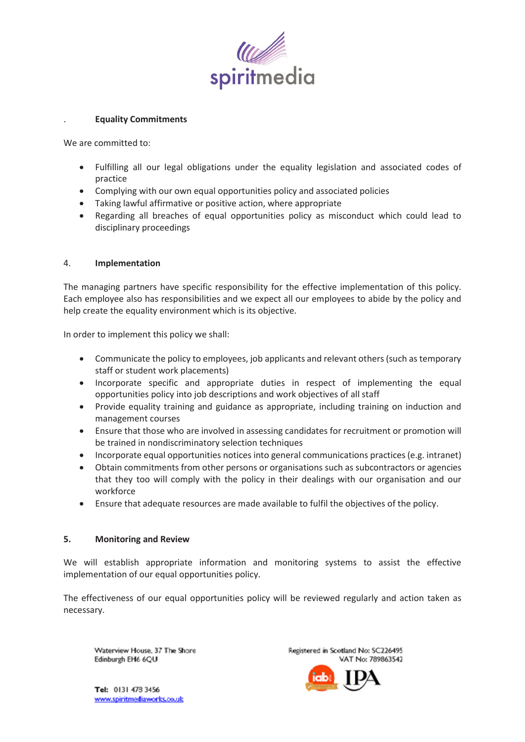

#### . **Equality Commitments**

We are committed to:

- Fulfilling all our legal obligations under the equality legislation and associated codes of practice
- Complying with our own equal opportunities policy and associated policies
- Taking lawful affirmative or positive action, where appropriate
- Regarding all breaches of equal opportunities policy as misconduct which could lead to disciplinary proceedings

### 4. **Implementation**

The managing partners have specific responsibility for the effective implementation of this policy. Each employee also has responsibilities and we expect all our employees to abide by the policy and help create the equality environment which is its objective.

In order to implement this policy we shall:

- Communicate the policy to employees, job applicants and relevant others (such as temporary staff or student work placements)
- Incorporate specific and appropriate duties in respect of implementing the equal opportunities policy into job descriptions and work objectives of all staff
- Provide equality training and guidance as appropriate, including training on induction and management courses
- Ensure that those who are involved in assessing candidates for recruitment or promotion will be trained in nondiscriminatory selection techniques
- Incorporate equal opportunities notices into general communications practices (e.g. intranet)
- Obtain commitments from other persons or organisations such as subcontractors or agencies that they too will comply with the policy in their dealings with our organisation and our workforce
- Ensure that adequate resources are made available to fulfil the objectives of the policy.

#### **5. Monitoring and Review**

We will establish appropriate information and monitoring systems to assist the effective implementation of our equal opportunities policy.

The effectiveness of our equal opportunities policy will be reviewed regularly and action taken as necessary.

Waterview House, 37 The Shore Edinburgh EH6 6QU

Registered in Scotland No: SC226495 VAT No: 789863542



Tel: 0131 478 3456 www.spiritmediaworks.co.uk